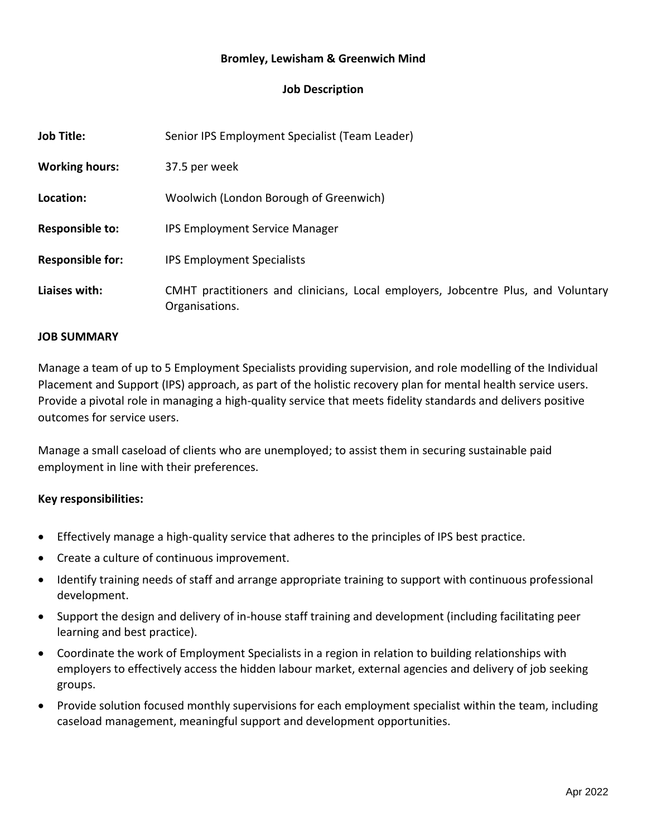# **Bromley, Lewisham & Greenwich Mind**

# **Job Description**

| <b>Job Title:</b>       | Senior IPS Employment Specialist (Team Leader)                                                      |
|-------------------------|-----------------------------------------------------------------------------------------------------|
| <b>Working hours:</b>   | 37.5 per week                                                                                       |
| Location:               | Woolwich (London Borough of Greenwich)                                                              |
| <b>Responsible to:</b>  | <b>IPS Employment Service Manager</b>                                                               |
| <b>Responsible for:</b> | <b>IPS Employment Specialists</b>                                                                   |
| Liaises with:           | CMHT practitioners and clinicians, Local employers, Jobcentre Plus, and Voluntary<br>Organisations. |

#### **JOB SUMMARY**

Manage a team of up to 5 Employment Specialists providing supervision, and role modelling of the Individual Placement and Support (IPS) approach, as part of the holistic recovery plan for mental health service users. Provide a pivotal role in managing a high-quality service that meets fidelity standards and delivers positive outcomes for service users.

Manage a small caseload of clients who are unemployed; to assist them in securing sustainable paid employment in line with their preferences.

### **Key responsibilities:**

- Effectively manage a high-quality service that adheres to the principles of IPS best practice.
- Create a culture of continuous improvement.
- Identify training needs of staff and arrange appropriate training to support with continuous professional development.
- Support the design and delivery of in-house staff training and development (including facilitating peer learning and best practice).
- Coordinate the work of Employment Specialists in a region in relation to building relationships with employers to effectively access the hidden labour market, external agencies and delivery of job seeking groups.
- Provide solution focused monthly supervisions for each employment specialist within the team, including caseload management, meaningful support and development opportunities.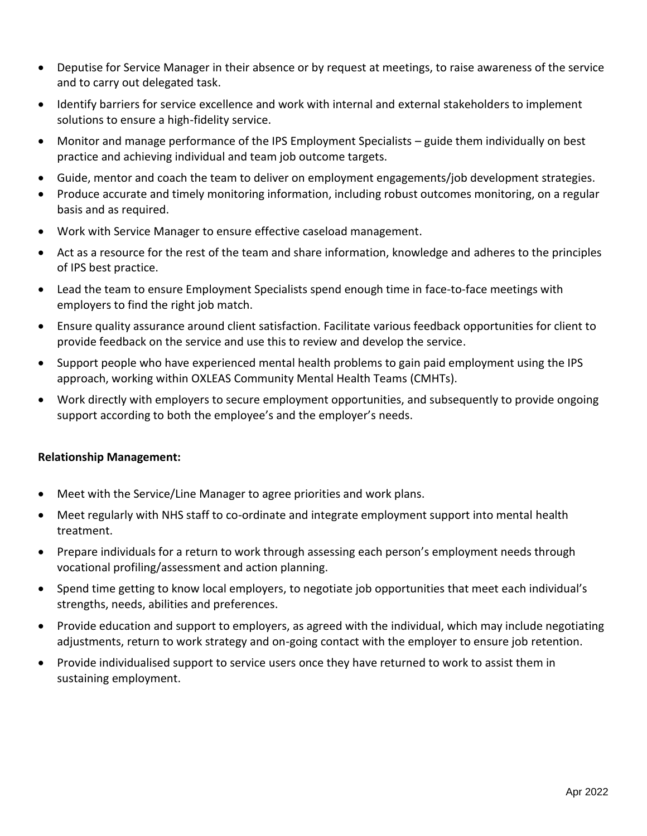- Deputise for Service Manager in their absence or by request at meetings, to raise awareness of the service and to carry out delegated task.
- Identify barriers for service excellence and work with internal and external stakeholders to implement solutions to ensure a high-fidelity service.
- Monitor and manage performance of the IPS Employment Specialists guide them individually on best practice and achieving individual and team job outcome targets.
- Guide, mentor and coach the team to deliver on employment engagements/job development strategies.
- Produce accurate and timely monitoring information, including robust outcomes monitoring, on a regular basis and as required.
- Work with Service Manager to ensure effective caseload management.
- Act as a resource for the rest of the team and share information, knowledge and adheres to the principles of IPS best practice.
- Lead the team to ensure Employment Specialists spend enough time in face-to-face meetings with employers to find the right job match.
- Ensure quality assurance around client satisfaction. Facilitate various feedback opportunities for client to provide feedback on the service and use this to review and develop the service.
- Support people who have experienced mental health problems to gain paid employment using the IPS approach, working within OXLEAS Community Mental Health Teams (CMHTs).
- Work directly with employers to secure employment opportunities, and subsequently to provide ongoing support according to both the employee's and the employer's needs.

### **Relationship Management:**

- Meet with the Service/Line Manager to agree priorities and work plans.
- Meet regularly with NHS staff to co-ordinate and integrate employment support into mental health treatment.
- Prepare individuals for a return to work through assessing each person's employment needs through vocational profiling/assessment and action planning.
- Spend time getting to know local employers, to negotiate job opportunities that meet each individual's strengths, needs, abilities and preferences.
- Provide education and support to employers, as agreed with the individual, which may include negotiating adjustments, return to work strategy and on-going contact with the employer to ensure job retention.
- Provide individualised support to service users once they have returned to work to assist them in sustaining employment.